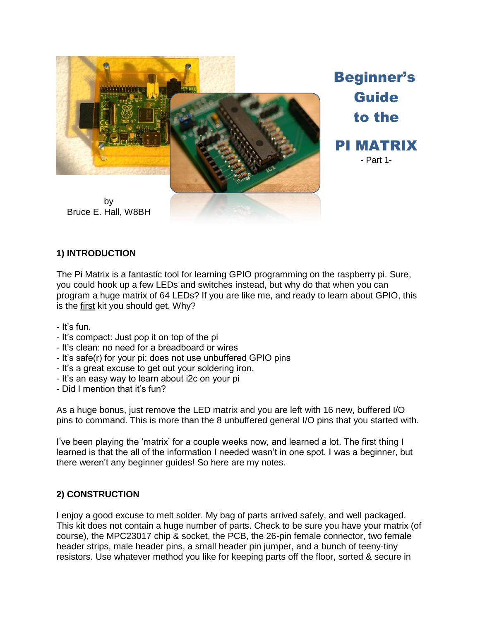

Beginner's Guide to the

Bruce E. Hall, W8BH

# **1) INTRODUCTION**

The Pi Matrix is a fantastic tool for learning GPIO programming on the raspberry pi. Sure, you could hook up a few LEDs and switches instead, but why do that when you can program a huge matrix of 64 LEDs? If you are like me, and ready to learn about GPIO, this is the first kit you should get. Why?

- It's fun.
- It's compact: Just pop it on top of the pi
- It's clean: no need for a breadboard or wires
- It's safe(r) for your pi: does not use unbuffered GPIO pins
- It's a great excuse to get out your soldering iron.
- It's an easy way to learn about i2c on your pi
- Did I mention that it's fun?

As a huge bonus, just remove the LED matrix and you are left with 16 new, buffered I/O pins to command. This is more than the 8 unbuffered general I/O pins that you started with.

I've been playing the 'matrix' for a couple weeks now, and learned a lot. The first thing I learned is that the all of the information I needed wasn't in one spot. I was a beginner, but there weren't any beginner guides! So here are my notes.

# **2) CONSTRUCTION**

I enjoy a good excuse to melt solder. My bag of parts arrived safely, and well packaged. This kit does not contain a huge number of parts. Check to be sure you have your matrix (of course), the MPC23017 chip & socket, the PCB, the 26-pin female connector, two female header strips, male header pins, a small header pin jumper, and a bunch of teeny-tiny resistors. Use whatever method you like for keeping parts off the floor, sorted & secure in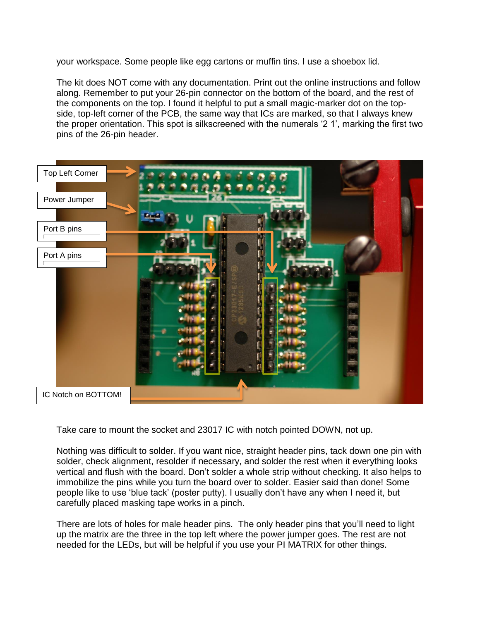your workspace. Some people like egg cartons or muffin tins. I use a shoebox lid.

The kit does NOT come with any documentation. Print out the online instructions and follow along. Remember to put your 26-pin connector on the bottom of the board, and the rest of the components on the top. I found it helpful to put a small magic-marker dot on the topside, top-left corner of the PCB, the same way that ICs are marked, so that I always knew the proper orientation. This spot is silkscreened with the numerals '2 1', marking the first two pins of the 26-pin header.



Take care to mount the socket and 23017 IC with notch pointed DOWN, not up.

Nothing was difficult to solder. If you want nice, straight header pins, tack down one pin with solder, check alignment, resolder if necessary, and solder the rest when it everything looks vertical and flush with the board. Don't solder a whole strip without checking. It also helps to immobilize the pins while you turn the board over to solder. Easier said than done! Some people like to use 'blue tack' (poster putty). I usually don't have any when I need it, but carefully placed masking tape works in a pinch.

There are lots of holes for male header pins. The only header pins that you'll need to light up the matrix are the three in the top left where the power jumper goes. The rest are not needed for the LEDs, but will be helpful if you use your PI MATRIX for other things.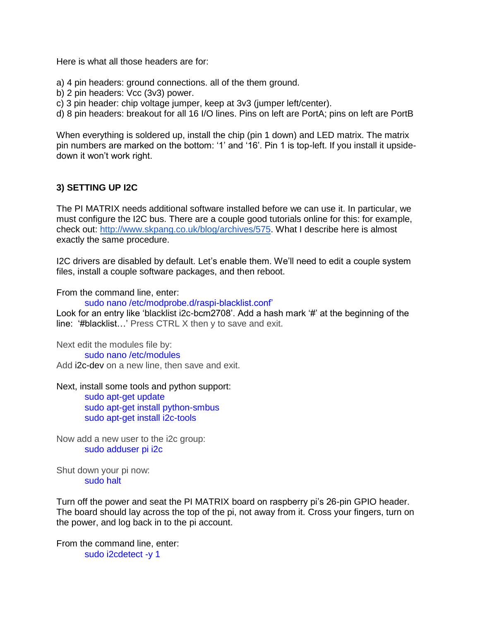Here is what all those headers are for:

a) 4 pin headers: ground connections. all of the them ground.

- b) 2 pin headers: Vcc (3v3) power.
- c) 3 pin header: chip voltage jumper, keep at 3v3 (jumper left/center).
- d) 8 pin headers: breakout for all 16 I/O lines. Pins on left are PortA; pins on left are PortB

When everything is soldered up, install the chip (pin 1 down) and LED matrix. The matrix pin numbers are marked on the bottom: '1' and '16'. Pin 1 is top-left. If you install it upsidedown it won't work right.

#### **3) SETTING UP I2C**

The PI MATRIX needs additional software installed before we can use it. In particular, we must configure the I2C bus. There are a couple good tutorials online for this: for example, check out: [http://www.skpang.co.uk/blog/archives/575.](http://www.skpang.co.uk/blog/archives/575) What I describe here is almost exactly the same procedure.

I2C drivers are disabled by default. Let's enable them. We'll need to edit a couple system files, install a couple software packages, and then reboot.

From the command line, enter:

sudo nano /etc/modprobe.d/raspi-blacklist.conf'

Look for an entry like 'blacklist i2c-bcm2708'. Add a hash mark '#' at the beginning of the line: '#blacklist…' Press CTRL X then y to save and exit.

Next edit the modules file by:

sudo nano /etc/modules

Add i2c-dev on a new line, then save and exit.

Next, install some tools and python support:

sudo apt-get update sudo apt-get install python-smbus sudo apt-get install i2c-tools

Now add a new user to the i2c group: sudo adduser pi i2c

Shut down your pi now: sudo halt

Turn off the power and seat the PI MATRIX board on raspberry pi's 26-pin GPIO header. The board should lay across the top of the pi, not away from it. Cross your fingers, turn on the power, and log back in to the pi account.

From the command line, enter: sudo i2cdetect -y 1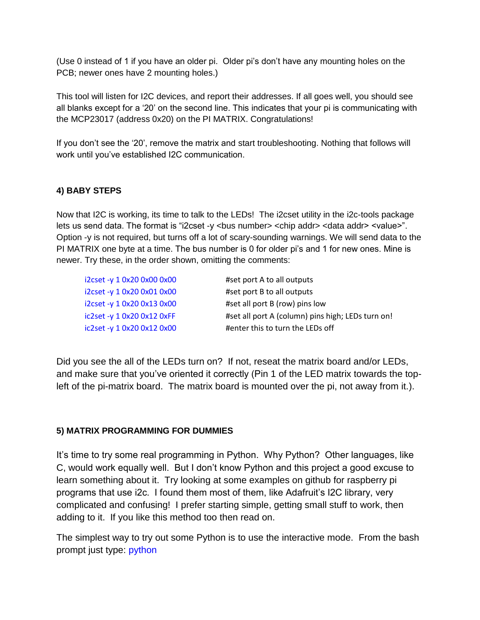(Use 0 instead of 1 if you have an older pi. Older pi's don't have any mounting holes on the PCB; newer ones have 2 mounting holes.)

This tool will listen for I2C devices, and report their addresses. If all goes well, you should see all blanks except for a '20' on the second line. This indicates that your pi is communicating with the MCP23017 (address 0x20) on the PI MATRIX. Congratulations!

If you don't see the '20', remove the matrix and start troubleshooting. Nothing that follows will work until you've established I2C communication.

## **4) BABY STEPS**

Now that I2C is working, its time to talk to the LEDs! The i2cset utility in the i2c-tools package lets us send data. The format is "i2cset -y <br/> <br/>dus number> <chip addr> <data addr> <value>". Option -y is not required, but turns off a lot of scary-sounding warnings. We will send data to the PI MATRIX one byte at a time. The bus number is 0 for older pi's and 1 for new ones. Mine is newer. Try these, in the order shown, omitting the comments:

| i2cset -y 1 0x20 0x00 0x00 | #set port A to all outputs                        |
|----------------------------|---------------------------------------------------|
| i2cset -y 1 0x20 0x01 0x00 | #set port B to all outputs                        |
| i2cset -y 1 0x20 0x13 0x00 | #set all port B (row) pins low                    |
| ic2set -y 1 0x20 0x12 0xFF | #set all port A (column) pins high; LEDs turn on! |
| ic2set -y 1 0x20 0x12 0x00 | #enter this to turn the LEDs off                  |

Did you see the all of the LEDs turn on? If not, reseat the matrix board and/or LEDs, and make sure that you've oriented it correctly (Pin 1 of the LED matrix towards the topleft of the pi-matrix board. The matrix board is mounted over the pi, not away from it.).

## **5) MATRIX PROGRAMMING FOR DUMMIES**

It's time to try some real programming in Python. Why Python? Other languages, like C, would work equally well. But I don't know Python and this project a good excuse to learn something about it. Try looking at some examples on github for raspberry pi programs that use i2c. I found them most of them, like Adafruit's I2C library, very complicated and confusing! I prefer starting simple, getting small stuff to work, then adding to it. If you like this method too then read on.

The simplest way to try out some Python is to use the interactive mode. From the bash prompt just type: python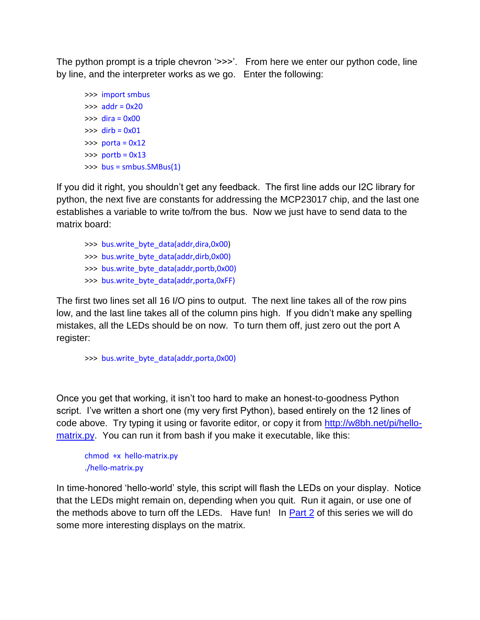The python prompt is a triple chevron '>>>'. From here we enter our python code, line by line, and the interpreter works as we go. Enter the following:

>>> import smbus  $\gg$  addr = 0x20  $\Rightarrow$  dira = 0x00  $\Rightarrow$  dirb = 0x01  $\gg$  porta = 0x12  $\gg$  portb = 0x13 >>> bus = smbus.SMBus(1)

If you did it right, you shouldn't get any feedback. The first line adds our I2C library for python, the next five are constants for addressing the MCP23017 chip, and the last one establishes a variable to write to/from the bus. Now we just have to send data to the matrix board:

>>> bus.write\_byte\_data(addr,dira,0x00) >>> bus.write byte data(addr,dirb,0x00) >>> bus.write\_byte\_data(addr,portb,0x00) >>> bus.write\_byte\_data(addr,porta,0xFF)

The first two lines set all 16 I/O pins to output. The next line takes all of the row pins low, and the last line takes all of the column pins high. If you didn't make any spelling mistakes, all the LEDs should be on now. To turn them off, just zero out the port A register:

>>> bus.write\_byte\_data(addr,porta,0x00)

Once you get that working, it isn't too hard to make an honest-to-goodness Python script. I've written a short one (my very first Python), based entirely on the 12 lines of code above. Try typing it using or favorite editor, or copy it from [http://w8bh.net/pi/hello](http://w8bh.net/pi/hello-matrix.py)[matrix.py.](http://w8bh.net/pi/hello-matrix.py) You can run it from bash if you make it executable, like this:

chmod +x hello-matrix.py ./hello-matrix.py

In time-honored 'hello-world' style, this script will flash the LEDs on your display. Notice that the LEDs might remain on, depending when you quit. Run it again, or use one of the methods above to turn off the LEDs. Have fun! In [Part](http://w8bh.net/pi/PiMatrix2.pdf) 2 of this series we will do some more interesting displays on the matrix.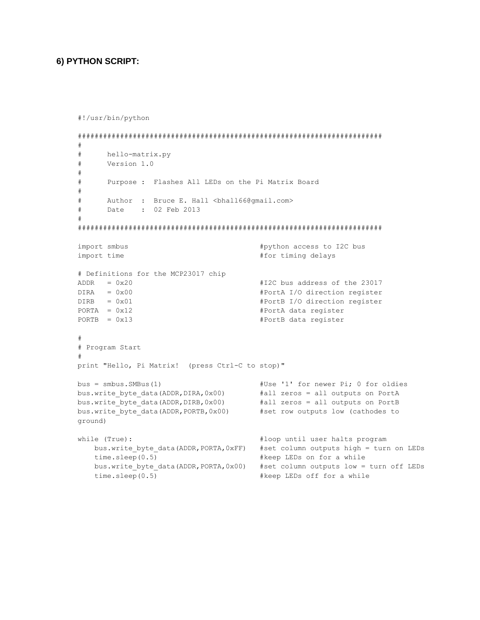#### **6) PYTHON SCRIPT:**

```
#!/usr/bin/python
########################################################################
#
# hello-matrix.py
# Version 1.0
#
# Purpose : Flashes All LEDs on the Pi Matrix Board
#
# Author : Bruce E. Hall <br/>bhall66@gmail.com>
# Date : 02 Feb 2013
#
########################################################################
import smbus \qquad \qquad \qquad \qquad \qquad \qquad \qquad \qquad \qquad \qquad \qquad \qquad \qquad \qquad \qquad \qquad \qquad \qquad \qquad \qquad \qquad \qquad \qquad \qquad \qquad \qquad \qquad \qquad \qquad \qquad \qquad \qquad \qquad \qquad \qquadimport time #for timing delays
# Definitions for the MCP23017 chip
ADDR = 0x20 #12C bus address of the 23017
DIRA = 0x00 #PortA I/O direction register
DIRB = 0x01 #PortB I/O direction register
PORTA = 0x12 #PortA data register
PORTB = 0x13    #PortB data register
#
# Program Start
#
print "Hello, Pi Matrix! (press Ctrl-C to stop)"
bus = smbus.SMBus(1) #Use '1' for newer Pi; 0 for oldies
bus.write_byte_data(ADDR,DIRA,0x00) #all zeros = all outputs on PortA
bus.write byte data(ADDR,DIRB,0x00) #all zeros = all outputs on PortB
bus.write_byte_data(ADDR,PORTB,0x00) #set row outputs low (cathodes to 
ground)
while (True): \qquad #loop until user halts program
   bus.write byte data(ADDR, PORTA, 0xFF) #set column outputs high = turn on LEDs
   time.sleep(0.5) \qquad #keep LEDs on for a while
   bus.write byte data(ADDR, PORTA, 0x00) #set column outputs low = turn off LEDs
   time.sleep(0.5) \qquad #keep LEDs off for a while
```